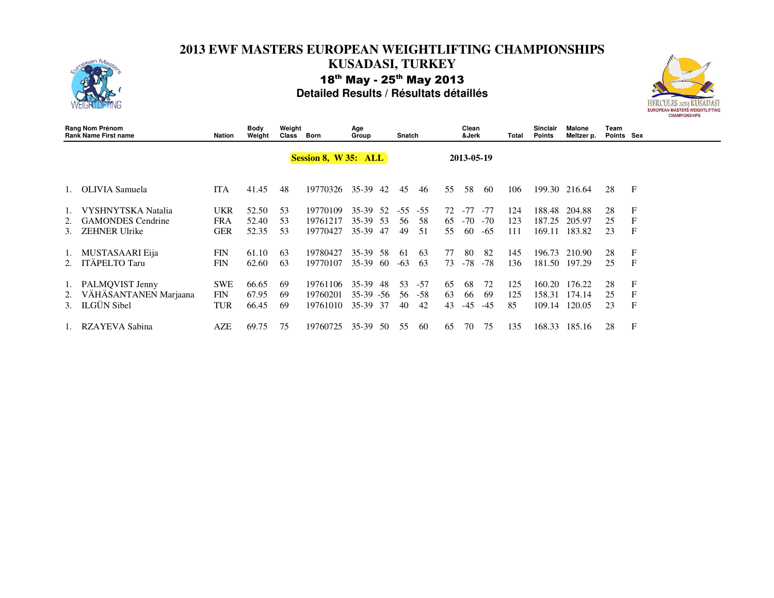

| Rang Nom Prénom<br><b>Rank Name First name</b> |                                                            | Nation                                 | Body<br>Weight          | Weight<br>Class | Born                             | Age<br>Group                     |            | Snatch         |                    |                | Clean<br>&Jerk<br>Total |                   |                  | Sinclair<br><b>Points</b>  | Malone<br>Meltzer p.       | Team<br>Points Sex |                       |
|------------------------------------------------|------------------------------------------------------------|----------------------------------------|-------------------------|-----------------|----------------------------------|----------------------------------|------------|----------------|--------------------|----------------|-------------------------|-------------------|------------------|----------------------------|----------------------------|--------------------|-----------------------|
|                                                |                                                            |                                        |                         |                 | Session 8, W 35: ALL             |                                  |            |                |                    | 2013-05-19     |                         |                   |                  |                            |                            |                    |                       |
|                                                | OLIVIA Samuela                                             | <b>ITA</b>                             | 41.45                   | 48              | 19770326                         | $35-39$                          | 42         | 45             | 46                 | 55             | 58                      | -60               | 106              | 199.30                     | 216.64                     | 28                 | F                     |
| 1.<br>2.                                       | <b>VYSHNYTSKA</b> Natalia<br><b>GAMONDES</b> Cendrine      | UKR<br>FRA                             | 52.50<br>52.40          | 53<br>53        | 19770109<br>19761217             | 35-39<br>$35-39$                 | .52<br>-53 | $-55$<br>56    | $-55$<br>58        | 72<br>65       | $-77$<br>$-70$          | $-77$<br>$-70$    | 124<br>123       | 188.48<br>187.25           | 204.88<br>205.97           | 28<br>25           | F<br>F                |
| 3.                                             | <b>ZEHNER Ulrike</b>                                       | <b>GER</b>                             | 52.35                   | 53              | 19770427                         | $35-39$                          | 47         | 49             | 51                 | 55             | 60                      | $-65$             | 111              | 169.11                     | 183.82                     | 23                 | F                     |
| 1.                                             | MUSTASAARI Eija<br><b>ITÄPELTO Taru</b>                    | <b>FIN</b><br><b>FIN</b>               | 61.10<br>62.60          | 63<br>63        | 19780427<br>19770107             | 35-39<br>$35-39$                 | -58<br>-60 | -61<br>$-63$   | 63<br>63           | 77<br>73       | 80<br>$-78$             | 82<br>$-78$       | 145<br>136       | 196.73<br>181.50           | 210.90<br>197.29           | 28<br>25           | F<br>$\mathbf F$      |
| 2.                                             | PALMOVIST Jenny<br>VÄHÄSANTANEN Marjaana<br>3. ILGÜN Sibel | <b>SWE</b><br><b>FIN</b><br><b>TUR</b> | 66.65<br>67.95<br>66.45 | -69<br>69<br>69 | 19761106<br>19760201<br>19761010 | 35-39<br>$35-39 - 56$<br>$35-39$ | 48<br>-37  | 53<br>56<br>40 | $-57$<br>-58<br>42 | 65<br>63<br>43 | 68<br>66<br>-45         | 72<br>69<br>$-45$ | 125<br>125<br>85 | 160.20<br>158.31<br>109.14 | 176.22<br>174.14<br>120.05 | 28<br>25<br>23     | F<br>F<br>$\mathbf F$ |
|                                                | RZAYEVA Sabina                                             | <b>AZE</b>                             | 69.75                   | 75              | 19760725                         | $35-39$                          | 50         | 55             | 60                 | 65             | 70                      | 75                | 135              | 168.33                     | 185.16                     | 28                 | F                     |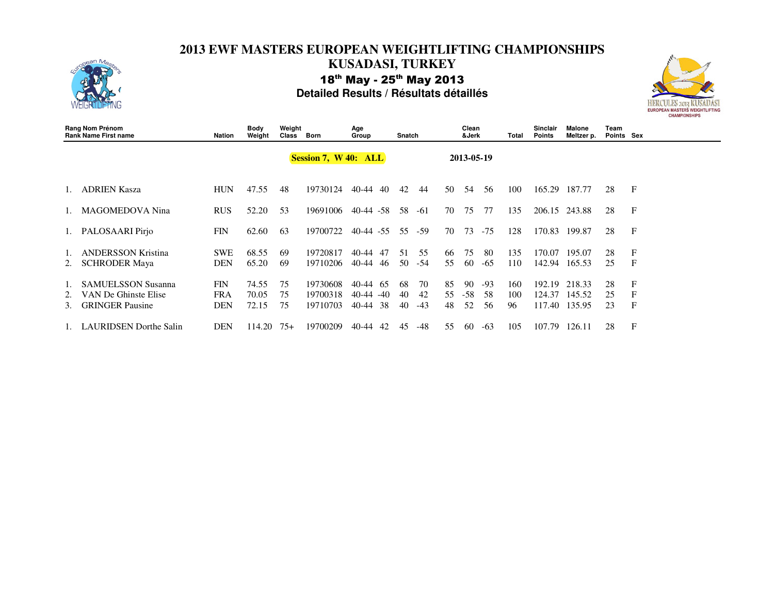



| Rang Nom Prénom<br><b>Rank Name First name</b> |                                                                             | Nation                                 | Body<br>Weight          | Weight<br>Class      | Born                             | Age<br>Group                                  |                 | Snatch     |                   | Clean<br>&Jerk |                   |                   | Total            | <b>Sinclair</b><br><b>Points</b> | Malone<br>Meltzer p.       | Team<br>Points Sex |                       |
|------------------------------------------------|-----------------------------------------------------------------------------|----------------------------------------|-------------------------|----------------------|----------------------------------|-----------------------------------------------|-----------------|------------|-------------------|----------------|-------------------|-------------------|------------------|----------------------------------|----------------------------|--------------------|-----------------------|
|                                                |                                                                             |                                        |                         | Session 7, W 40: ALL |                                  |                                               |                 | 2013-05-19 |                   |                |                   |                   |                  |                                  |                            |                    |                       |
|                                                | <b>ADRIEN Kasza</b>                                                         | <b>HUN</b>                             | 47.55                   | 48                   | 19730124                         | 40-44<br>40                                   | 42              |            | 44                | 50             | .54               | 56                | 100              | 165.29                           | 187.77                     | 28                 | $\mathbf F$           |
|                                                | <b>MAGOMEDOVA</b> Nina                                                      | <b>RUS</b>                             | 52.20                   | 53                   | 19691006                         | $40-44 - 58$                                  | 58              |            | $-61$             | 70             | 75                | 77                | 135              | 206.15                           | 243.88                     | 28                 | F                     |
|                                                | 1. PALOSAARI Pirjo                                                          | <b>FIN</b>                             | 62.60                   | 63                   | 19700722                         | $40-44 - 55$                                  | 55              |            | -59               | 70             | 73                | $-75$             | 128              | 170.83                           | 199.87                     | 28                 | $\mathbf F$           |
|                                                | ANDERSSON Kristina<br><b>SCHRODER Maya</b>                                  | <b>SWE</b><br>DEN                      | 68.55<br>65.20          | -69<br>69            | 19720817<br>19710206             | 40-44<br>47<br>40-44<br>46                    | 51<br>50        |            | 55<br>-54         | -66<br>55      | 75<br>60          | -80<br>-65        | 135<br>110       | 170.07<br>142.94                 | 195.07<br>165.53           | 28<br>25           | F<br>$\mathbf F$      |
| 2.<br>3.                                       | <b>SAMUELSSON Susanna</b><br>VAN De Ghinste Elise<br><b>GRINGER</b> Pausine | <b>FIN</b><br><b>FRA</b><br><b>DEN</b> | 74.55<br>70.05<br>72.15 | 75<br>75<br>75       | 19730608<br>19700318<br>19710703 | 40-44<br>-65<br>40-44<br>$-40$<br>38<br>40-44 | -68<br>40<br>40 |            | 70<br>42<br>$-43$ | 85<br>55<br>48 | 90<br>$-58$<br>52 | $-93$<br>58<br>56 | 160<br>100<br>96 | 192.19<br>124.37<br>117.40       | 218.33<br>145.52<br>135.95 | 28<br>25<br>23     | F<br>F<br>$\mathbf F$ |
|                                                | LAURIDSEN Dorthe Salin                                                      | <b>DEN</b>                             | 114.20                  | $75+$                | 19700209                         | 40-44<br>42                                   | 45              |            | -48               | 55             | 60                | $-63$             | 105              | 107.79                           | 126.11                     | 28                 | F                     |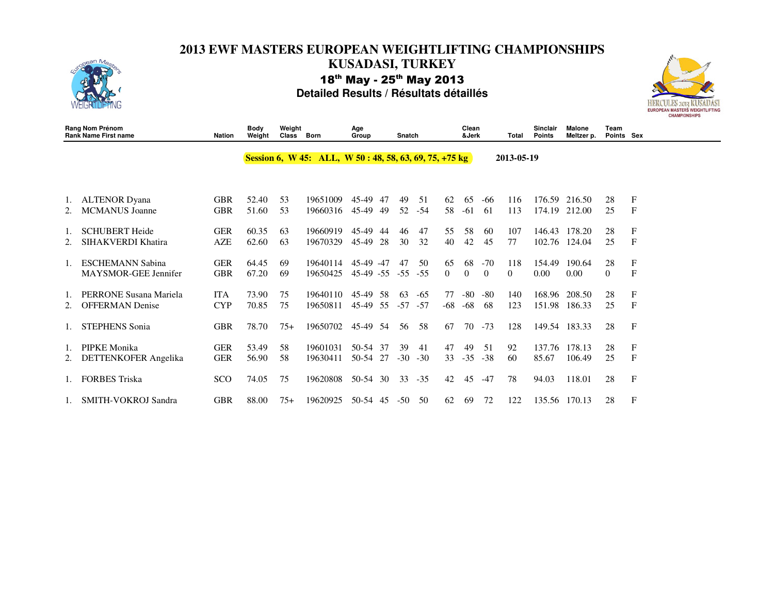



|    | Rang Nom Prénom<br><b>Rank Name First name</b>   | <b>Nation</b>            | Body<br>Weight | Weight<br>Class | <b>Born</b>                                               | Age<br>Group               |           | Snatch      |                |           | Clean<br>&Jerk |                   | Total           | Sinclair<br><b>Points</b> | <b>Malone</b><br>Meltzer p. | Team<br>Points Sex |                             |
|----|--------------------------------------------------|--------------------------|----------------|-----------------|-----------------------------------------------------------|----------------------------|-----------|-------------|----------------|-----------|----------------|-------------------|-----------------|---------------------------|-----------------------------|--------------------|-----------------------------|
|    |                                                  |                          |                |                 | Session 6, W 45: ALL, W 50 : 48, 58, 63, 69, 75, $+75$ kg |                            |           |             |                |           |                |                   | 2013-05-19      |                           |                             |                    |                             |
| 2. | <b>ALTENOR Dyana</b><br><b>MCMANUS</b> Joanne    | <b>GBR</b><br><b>GBR</b> | 52.40<br>51.60 | 53<br>53        | 19651009<br>19660316                                      | 45-49<br>45-49             | 47<br>49  | 49<br>52    | 51<br>-54      | 62<br>58  | 65<br>-61      | -66<br>61         | 116<br>113      | 176.59<br>174.19          | 216.50<br>212.00            | 28<br>25           | $\mathbf F$<br>$\mathbf{F}$ |
|    | <b>SCHUBERT Heide</b><br>SIHAKVERDI Khatira      | <b>GER</b><br>AZE        | 60.35<br>62.60 | 63<br>63        | 19660919<br>19670329                                      | 45-49<br>45-49             | -44<br>28 | 46<br>30    | 47<br>32       | 55<br>40  | 58<br>42       | 60<br>45          | 107<br>77       | 146.43<br>102.76          | 178.20<br>124.04            | 28<br>25           | $_{\rm F}$<br>$\mathbf{F}$  |
|    | <b>ESCHEMANN Sabina</b><br>MAYSMOR-GEE Jennifer  | <b>GER</b><br><b>GBR</b> | 64.45<br>67.20 | 69<br>69        | 19640114<br>19650425                                      | 45-49 -47<br>$45-49$ $-55$ |           | 47<br>$-55$ | 50<br>$-55$    | 65<br>0   | 68<br>$\Omega$ | $-70$<br>$\theta$ | 118<br>$\Omega$ | 154.49<br>0.00            | 190.64<br>0.00              | 28<br>$\Omega$     | $_{\rm F}$<br>$\mathbf{F}$  |
|    | PERRONE Susana Mariela<br><b>OFFERMAN</b> Denise | <b>ITA</b><br><b>CYP</b> | 73.90<br>70.85 | 75<br>75        | 19640110<br>19650811                                      | 45-49<br>45-49             | 58<br>55  | 63<br>$-57$ | $-65$<br>$-57$ | 77<br>-68 | $-80$<br>$-68$ | $-80$<br>68       | 140<br>123      | 168.96<br>151.98          | 208.50<br>186.33            | 28<br>25           | $_{\rm F}$<br>$\mathbf F$   |
|    | <b>STEPHENS Sonia</b>                            | <b>GBR</b>               | 78.70          | $75+$           | 19650702                                                  | 45-49 54                   |           | 56          | 58             | 67        | 70             | $-73$             | 128             |                           | 149.54 183.33               | 28                 | $\mathbf{F}$                |
|    | PIPKE Monika<br>DETTENKOFER Angelika             | <b>GER</b><br><b>GER</b> | 53.49<br>56.90 | 58<br>58        | 19601031<br>19630411                                      | 50-54 37<br>50-54 27       |           | 39<br>$-30$ | 41<br>$-30$    | 47<br>33  | 49<br>$-35$    | 51<br>$-38$       | 92<br>60        | 137.76<br>85.67           | 178.13<br>106.49            | 28<br>25           | F<br>F                      |
|    | <b>FORBES Triska</b>                             | SCO                      | 74.05          | 75              | 19620808                                                  | $50-54$                    | 30        | 33          | $-35$          | 42        | 45             | $-47$             | 78              | 94.03                     | 118.01                      | 28                 | $\mathbf F$                 |
|    | 1. SMITH-VOKROJ Sandra                           | <b>GBR</b>               | 88.00          | $75+$           | 19620925                                                  | 50-54                      | 45        | $-50$       | 50             | 62        | 69             | 72                | 122             | 135.56                    | 170.13                      | 28                 | F                           |